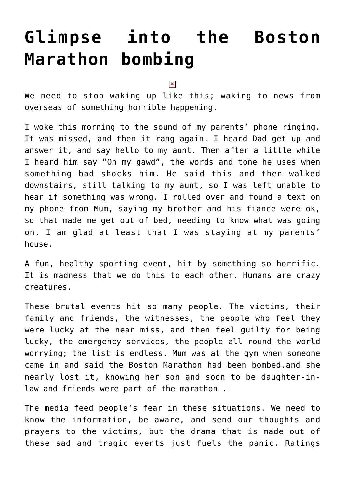## **[Glimpse into the Boston](https://www.glimpsinggembles.com/2013/04/16/glimpse-into-the-boston-marathon-bombing/) [Marathon bombing](https://www.glimpsinggembles.com/2013/04/16/glimpse-into-the-boston-marathon-bombing/)**

 $\pmb{\times}$ 

We need to stop waking up like this; waking to news from overseas of something horrible happening.

I woke this morning to the sound of my parents' phone ringing. It was missed, and then it rang again. I heard Dad get up and answer it, and say hello to my aunt. Then after a little while I heard him say "Oh my gawd", the words and tone he uses when something bad shocks him. He said this and then walked downstairs, still talking to my aunt, so I was left unable to hear if something was wrong. I rolled over and found a text on my phone from Mum, saying my brother and his fiance were ok, so that made me get out of bed, needing to know what was going on. I am glad at least that I was staying at my parents' house.

A fun, healthy sporting event, hit by something so horrific. It is madness that we do this to each other. Humans are crazy creatures.

These brutal events hit so many people. The victims, their family and friends, the witnesses, the people who feel they were lucky at the near miss, and then feel guilty for being lucky, the emergency services, the people all round the world worrying; the list is endless. Mum was at the gym when someone came in and said the Boston Marathon had been bombed,and she nearly lost it, knowing her son and soon to be daughter-inlaw and friends were part of the marathon .

The media feed people's fear in these situations. We need to know the information, be aware, and send our thoughts and prayers to the victims, but the drama that is made out of these sad and tragic events just fuels the panic. Ratings